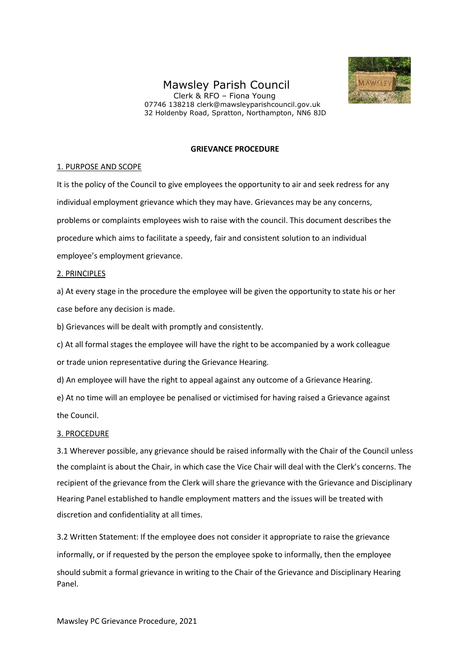# Mawsley Parish Council





## **GRIEVANCE PROCEDURE**

#### 1. PURPOSE AND SCOPE

It is the policy of the Council to give employees the opportunity to air and seek redress for any individual employment grievance which they may have. Grievances may be any concerns, problems or complaints employees wish to raise with the council. This document describes the procedure which aims to facilitate a speedy, fair and consistent solution to an individual employee's employment grievance.

### 2. PRINCIPLES

a) At every stage in the procedure the employee will be given the opportunity to state his or her case before any decision is made.

b) Grievances will be dealt with promptly and consistently.

c) At all formal stages the employee will have the right to be accompanied by a work colleague

or trade union representative during the Grievance Hearing.

d) An employee will have the right to appeal against any outcome of a Grievance Hearing.

e) At no time will an employee be penalised or victimised for having raised a Grievance against the Council.

## 3. PROCEDURE

3.1 Wherever possible, any grievance should be raised informally with the Chair of the Council unless the complaint is about the Chair, in which case the Vice Chair will deal with the Clerk's concerns. The recipient of the grievance from the Clerk will share the grievance with the Grievance and Disciplinary Hearing Panel established to handle employment matters and the issues will be treated with discretion and confidentiality at all times.

3.2 Written Statement: If the employee does not consider it appropriate to raise the grievance informally, or if requested by the person the employee spoke to informally, then the employee should submit a formal grievance in writing to the Chair of the Grievance and Disciplinary Hearing Panel.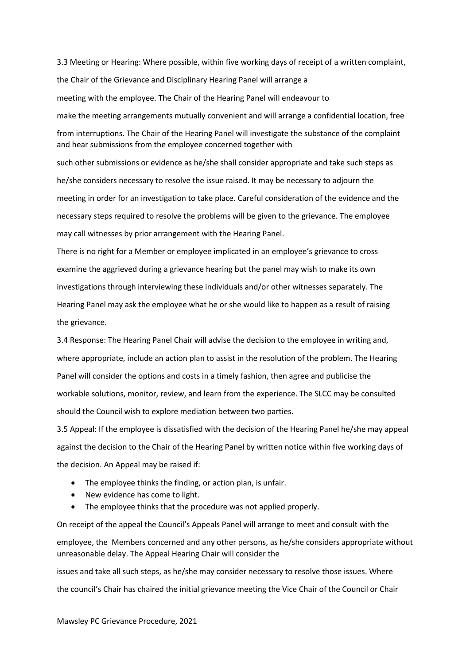3.3 Meeting or Hearing: Where possible, within five working days of receipt of a written complaint, the Chair of the Grievance and Disciplinary Hearing Panel will arrange a meeting with the employee. The Chair of the Hearing Panel will endeavour to make the meeting arrangements mutually convenient and will arrange a confidential location, free from interruptions. The Chair of the Hearing Panel will investigate the substance of the complaint and hear submissions from the employee concerned together with

such other submissions or evidence as he/she shall consider appropriate and take such steps as he/she considers necessary to resolve the issue raised. It may be necessary to adjourn the meeting in order for an investigation to take place. Careful consideration of the evidence and the necessary steps required to resolve the problems will be given to the grievance. The employee may call witnesses by prior arrangement with the Hearing Panel.

There is no right for a Member or employee implicated in an employee's grievance to cross examine the aggrieved during a grievance hearing but the panel may wish to make its own investigations through interviewing these individuals and/or other witnesses separately. The Hearing Panel may ask the employee what he or she would like to happen as a result of raising the grievance.

3.4 Response: The Hearing Panel Chair will advise the decision to the employee in writing and, where appropriate, include an action plan to assist in the resolution of the problem. The Hearing Panel will consider the options and costs in a timely fashion, then agree and publicise the workable solutions, monitor, review, and learn from the experience. The SLCC may be consulted should the Council wish to explore mediation between two parties.

3.5 Appeal: If the employee is dissatisfied with the decision of the Hearing Panel he/she may appeal against the decision to the Chair of the Hearing Panel by written notice within five working days of the decision. An Appeal may be raised if:

- The employee thinks the finding, or action plan, is unfair.
- New evidence has come to light.
- The employee thinks that the procedure was not applied properly.

On receipt of the appeal the Council's Appeals Panel will arrange to meet and consult with the employee, the Members concerned and any other persons, as he/she considers appropriate without unreasonable delay. The Appeal Hearing Chair will consider the

issues and take all such steps, as he/she may consider necessary to resolve those issues. Where the council's Chair has chaired the initial grievance meeting the Vice Chair of the Council or Chair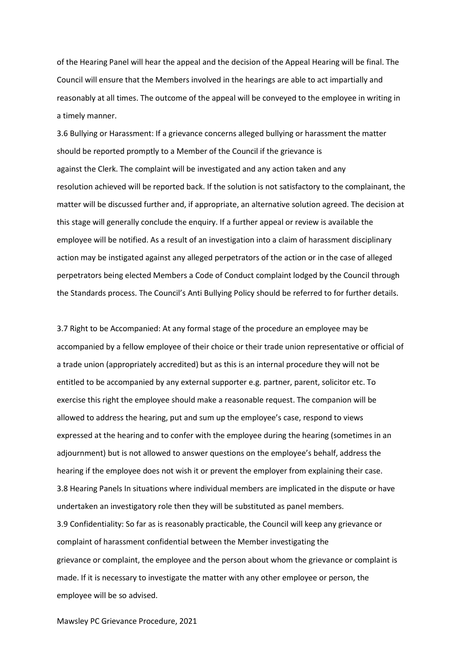of the Hearing Panel will hear the appeal and the decision of the Appeal Hearing will be final. The Council will ensure that the Members involved in the hearings are able to act impartially and reasonably at all times. The outcome of the appeal will be conveyed to the employee in writing in a timely manner.

3.6 Bullying or Harassment: If a grievance concerns alleged bullying or harassment the matter should be reported promptly to a Member of the Council if the grievance is against the Clerk. The complaint will be investigated and any action taken and any resolution achieved will be reported back. If the solution is not satisfactory to the complainant, the matter will be discussed further and, if appropriate, an alternative solution agreed. The decision at this stage will generally conclude the enquiry. If a further appeal or review is available the employee will be notified. As a result of an investigation into a claim of harassment disciplinary action may be instigated against any alleged perpetrators of the action or in the case of alleged perpetrators being elected Members a Code of Conduct complaint lodged by the Council through the Standards process. The Council's Anti Bullying Policy should be referred to for further details.

3.7 Right to be Accompanied: At any formal stage of the procedure an employee may be accompanied by a fellow employee of their choice or their trade union representative or official of a trade union (appropriately accredited) but as this is an internal procedure they will not be entitled to be accompanied by any external supporter e.g. partner, parent, solicitor etc. To exercise this right the employee should make a reasonable request. The companion will be allowed to address the hearing, put and sum up the employee's case, respond to views expressed at the hearing and to confer with the employee during the hearing (sometimes in an adjournment) but is not allowed to answer questions on the employee's behalf, address the hearing if the employee does not wish it or prevent the employer from explaining their case. 3.8 Hearing Panels In situations where individual members are implicated in the dispute or have undertaken an investigatory role then they will be substituted as panel members. 3.9 Confidentiality: So far as is reasonably practicable, the Council will keep any grievance or complaint of harassment confidential between the Member investigating the grievance or complaint, the employee and the person about whom the grievance or complaint is made. If it is necessary to investigate the matter with any other employee or person, the employee will be so advised.

Mawsley PC Grievance Procedure, 2021